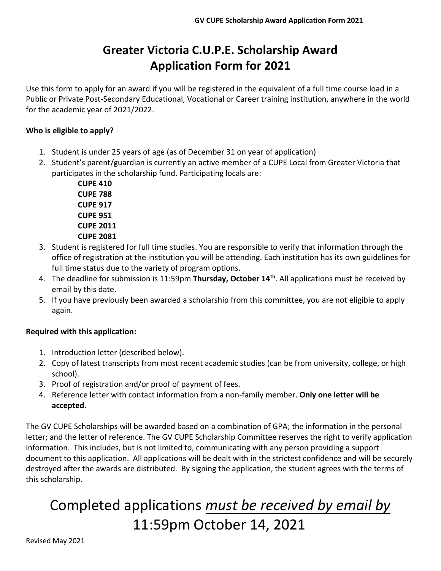# **Greater Victoria C.U.P.E. Scholarship Award Application Form for 2021**

Use this form to apply for an award if you will be registered in the equivalent of a full time course load in a Public or Private Post-Secondary Educational, Vocational or Career training institution, anywhere in the world for the academic year of 2021/2022.

#### **Who is eligible to apply?**

- 1. Student is under 25 years of age (as of December 31 on year of application)
- 2. Student's parent/guardian is currently an active member of a CUPE Local from Greater Victoria that participates in the scholarship fund. Participating locals are:

**CUPE 410 CUPE 788 CUPE 917 CUPE 951 CUPE 2011 CUPE 2081**

- 3. Student is registered for full time studies. You are responsible to verify that information through the office of registration at the institution you will be attending. Each institution has its own guidelines for full time status due to the variety of program options.
- 4. The deadline for submission is 11:59pm **Thursday, October 14th** . All applications must be received by email by this date.
- 5. If you have previously been awarded a scholarship from this committee, you are not eligible to apply again.

#### **Required with this application:**

- 1. Introduction letter (described below).
- 2. Copy of latest transcripts from most recent academic studies (can be from university, college, or high school).
- 3. Proof of registration and/or proof of payment of fees.
- 4. Reference letter with contact information from a non-family member. **Only one letter will be accepted.**

The GV CUPE Scholarships will be awarded based on a combination of GPA; the information in the personal letter; and the letter of reference. The GV CUPE Scholarship Committee reserves the right to verify application information. This includes, but is not limited to, communicating with any person providing a support document to this application. All applications will be dealt with in the strictest confidence and will be securely destroyed after the awards are distributed. By signing the application, the student agrees with the terms of this scholarship.

# Completed applications *must be received by email by* 11:59pm October 14, 2021

Revised May 2021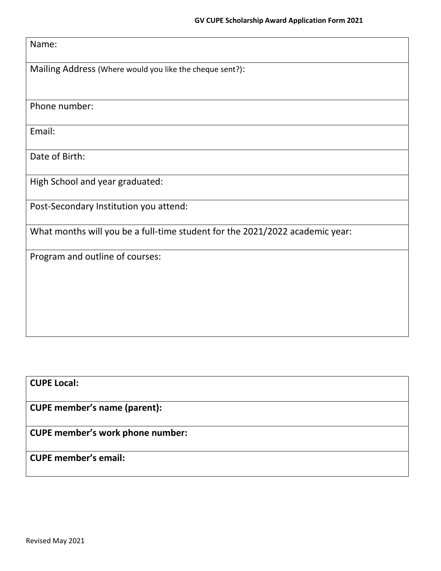#### Name:

Mailing Address (Where would you like the cheque sent?):

Phone number:

Email:

Date of Birth:

High School and year graduated:

Post-Secondary Institution you attend:

What months will you be a full-time student for the 2021/2022 academic year:

Program and outline of courses:

## **CUPE Local:**

**CUPE member's name (parent):**

**CUPE member's work phone number:**

## **CUPE member's email:**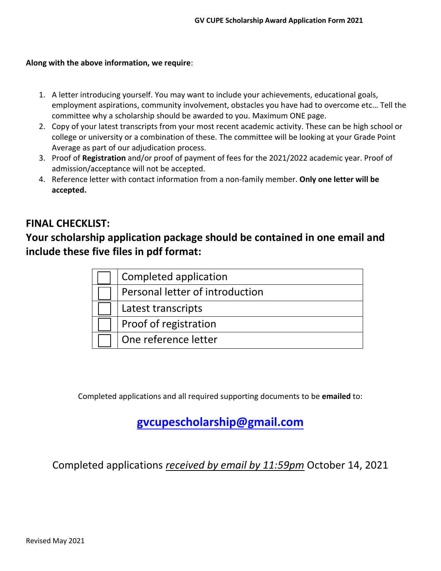#### **Along with the above information, we require**:

- 1. A letter introducing yourself. You may want to include your achievements, educational goals, employment aspirations, community involvement, obstacles you have had to overcome etc… Tell the committee why a scholarship should be awarded to you. Maximum ONE page.
- 2. Copy of your latest transcripts from your most recent academic activity. These can be high school or college or university or a combination of these. The committee will be looking at your Grade Point Average as part of our adjudication process.
- 3. Proof of **Registration** and/or proof of payment of fees for the 2021/2022 academic year. Proof of admission/acceptance will not be accepted.
- 4. Reference letter with contact information from a non-family member. **Only one letter will be accepted.**

## **FINAL CHECKLIST:**

# **Your scholarship application package should be contained in one email and include these five files in pdf format:**

| Completed application           |
|---------------------------------|
| Personal letter of introduction |
| Latest transcripts              |
| Proof of registration           |
| One reference letter            |

Completed applications and all required supporting documents to be **emailed** to:

# **gvcupescholarship@gmail.com**

Completed applications *received by email by 11:59pm* October 14, 2021